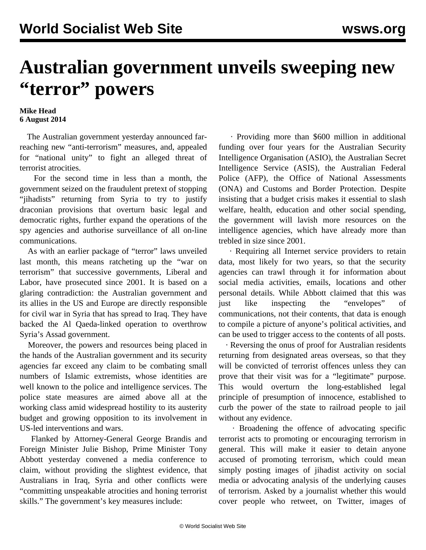## **Australian government unveils sweeping new "terror" powers**

## **Mike Head 6 August 2014**

 The Australian government yesterday announced farreaching new "anti-terrorism" measures, and, appealed for "national unity" to fight an alleged threat of terrorist atrocities.

 For the second time in less than a month, the government seized on the fraudulent pretext of stopping "iihadists" returning from Syria to try to justify draconian provisions that overturn basic legal and democratic rights, further expand the operations of the spy agencies and authorise surveillance of all on-line communications.

 As with an earlier [package](/en/articles/2014/07/18/data-j18.html) of "terror" laws unveiled last month, this means ratcheting up the "war on terrorism" that successive governments, Liberal and Labor, have prosecuted since 2001. It is based on a glaring contradiction: the Australian government and its allies in the US and Europe are directly responsible for civil war in Syria that has spread to Iraq. They have backed the Al Qaeda-linked operation to overthrow Syria's Assad government.

 Moreover, the powers and resources being placed in the hands of the Australian government and its security agencies far exceed any claim to be combating small numbers of Islamic extremists, whose identities are well known to the police and intelligence services. The police state measures are aimed above all at the working class amid widespread hostility to its austerity budget and growing opposition to its involvement in US-led interventions and wars.

 Flanked by Attorney-General George Brandis and Foreign Minister Julie Bishop, Prime Minister Tony Abbott yesterday convened a media conference to claim, without providing the slightest evidence, that Australians in Iraq, Syria and other conflicts were "committing unspeakable atrocities and honing terrorist skills." The government's key measures include:

 · Providing more than \$600 million in additional funding over four years for the Australian Security Intelligence Organisation (ASIO), the Australian Secret Intelligence Service (ASIS), the Australian Federal Police (AFP), the Office of National Assessments (ONA) and Customs and Border Protection. Despite insisting that a budget crisis makes it essential to slash welfare, health, education and other social spending, the government will lavish more resources on the intelligence agencies, which have already more than trebled in size since 2001.

 · Requiring all Internet service providers to retain data, most likely for two years, so that the security agencies can trawl through it for information about social media activities, emails, locations and other personal details. While Abbott claimed that this was just like inspecting the "envelopes" of communications, not their contents, that data is enough to compile a picture of anyone's political activities, and can be used to trigger access to the contents of all posts.

 · Reversing the onus of proof for Australian residents returning from designated areas overseas, so that they will be convicted of terrorist offences unless they can prove that their visit was for a "legitimate" purpose. This would overturn the long-established legal principle of presumption of innocence, established to curb the power of the state to railroad people to jail without any evidence.

 · Broadening the offence of advocating specific terrorist acts to promoting or encouraging terrorism in general. This will make it easier to detain anyone accused of promoting terrorism, which could mean simply posting images of jihadist activity on social media or advocating analysis of the underlying causes of terrorism. Asked by a journalist whether this would cover people who retweet, on Twitter, images of